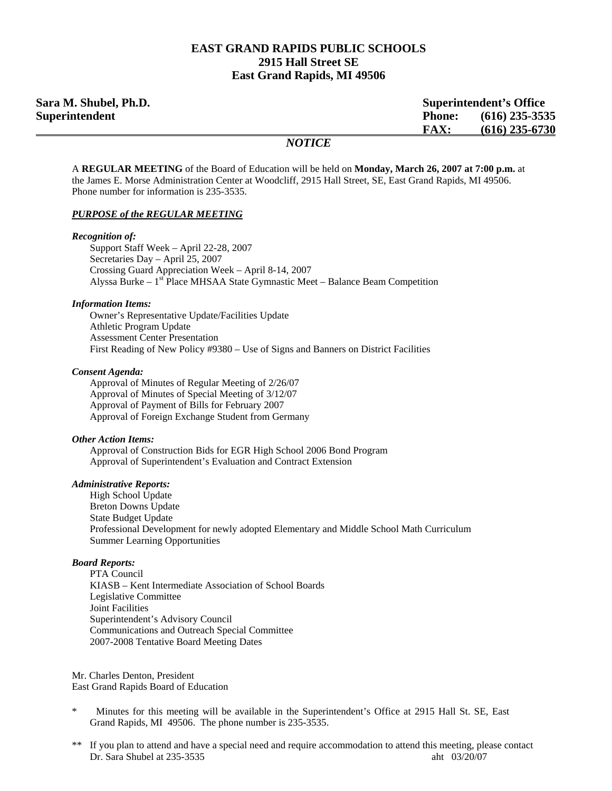### **EAST GRAND RAPIDS PUBLIC SCHOOLS 2915 Hall Street SE East Grand Rapids, MI 49506**

| Sara M. Shubel, Ph.D.<br><b>Superintendent's Office</b> |               |                  |
|---------------------------------------------------------|---------------|------------------|
| Superintendent                                          | <b>Phone:</b> | $(616)$ 235-3535 |
|                                                         | <b>FAX:</b>   | $(616)$ 235-6730 |
|                                                         | <b>NOTICE</b> |                  |

A **REGULAR MEETING** of the Board of Education will be held on **Monday, March 26, 2007 at 7:00 p.m.** at the James E. Morse Administration Center at Woodcliff, 2915 Hall Street, SE, East Grand Rapids, MI 49506. Phone number for information is 235-3535.

#### *PURPOSE of the REGULAR MEETING*

#### *Recognition of:*

 Support Staff Week – April 22-28, 2007 Secretaries Day – April 25, 2007 Crossing Guard Appreciation Week – April 8-14, 2007 Alyssa Burke  $-1<sup>st</sup>$  Place MHSAA State Gymnastic Meet – Balance Beam Competition

#### *Information Items:*

 Owner's Representative Update/Facilities Update Athletic Program Update Assessment Center Presentation First Reading of New Policy #9380 – Use of Signs and Banners on District Facilities

#### *Consent Agenda:*

 Approval of Minutes of Regular Meeting of 2/26/07 Approval of Minutes of Special Meeting of 3/12/07 Approval of Payment of Bills for February 2007 Approval of Foreign Exchange Student from Germany

#### *Other Action Items:*

Approval of Construction Bids for EGR High School 2006 Bond Program Approval of Superintendent's Evaluation and Contract Extension

#### *Administrative Reports:*

High School Update Breton Downs Update State Budget Update Professional Development for newly adopted Elementary and Middle School Math Curriculum Summer Learning Opportunities

#### *Board Reports:*

 PTA Council KIASB – Kent Intermediate Association of School Boards Legislative Committee Joint Facilities Superintendent's Advisory Council Communications and Outreach Special Committee 2007-2008 Tentative Board Meeting Dates

Mr. Charles Denton, President East Grand Rapids Board of Education

- Minutes for this meeting will be available in the Superintendent's Office at 2915 Hall St. SE, East Grand Rapids, MI 49506. The phone number is 235-3535.
- \*\* If you plan to attend and have a special need and require accommodation to attend this meeting, please contact Dr. Sara Shubel at 235-3535 aht 03/20/07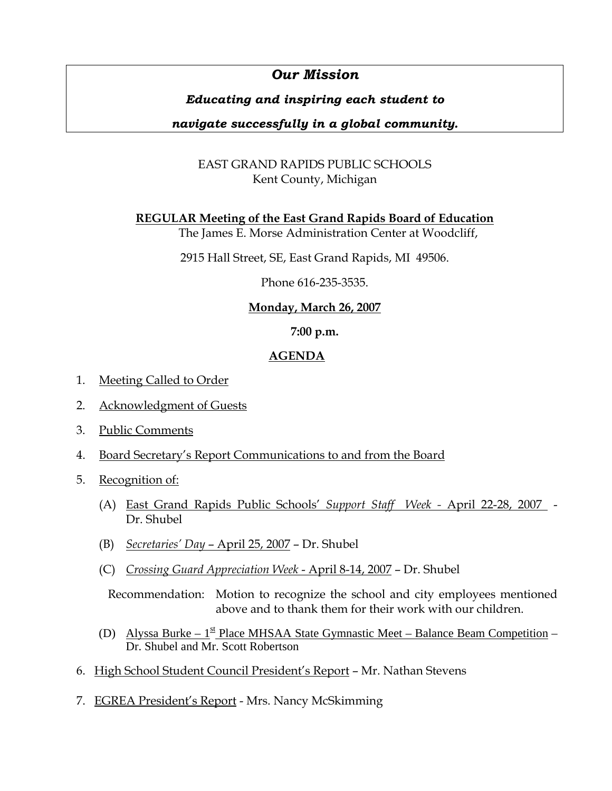# *Our Mission*

# *Educating and inspiring each student to*

# *navigate successfully in a global community.*

# EAST GRAND RAPIDS PUBLIC SCHOOLS Kent County, Michigan

**REGULAR Meeting of the East Grand Rapids Board of Education**

The James E. Morse Administration Center at Woodcliff,

2915 Hall Street, SE, East Grand Rapids, MI 49506.

Phone 616-235-3535.

# **Monday, March 26, 2007**

## **7:00 p.m.**

# **AGENDA**

- 1. Meeting Called to Order
- 2. Acknowledgment of Guests
- 3. Public Comments
- 4. Board Secretary's Report Communications to and from the Board
- 5. Recognition of:
	- (A) East Grand Rapids Public Schools' *Support Staff Week -* April 22-28, 2007 Dr. Shubel
	- (B) *Secretaries' Day*  April 25, 2007 Dr. Shubel
	- (C) *Crossing Guard Appreciation Week*  April 8-14, 2007 Dr. Shubel

 Recommendation: Motion to recognize the school and city employees mentioned above and to thank them for their work with our children.

- (D) Alyssa Burke  $1<sup>st</sup>$  Place MHSAA State Gymnastic Meet Balance Beam Competition Dr. Shubel and Mr. Scott Robertson
- 6. High School Student Council President's Report Mr. Nathan Stevens
- 7. EGREA President's Report Mrs. Nancy McSkimming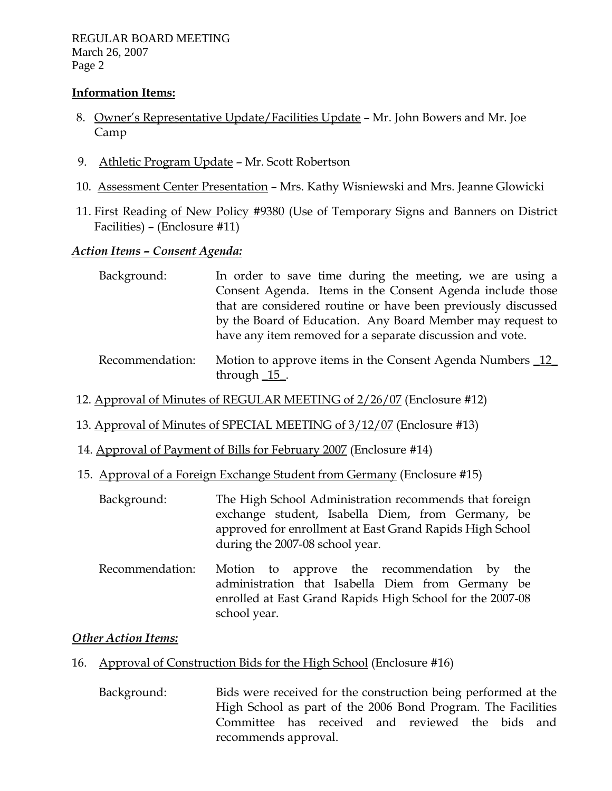### **Information Items:**

- 8. Owner's Representative Update/Facilities Update Mr. John Bowers and Mr. Joe Camp
- 9. Athletic Program Update Mr. Scott Robertson
- 10. Assessment Center Presentation Mrs. Kathy Wisniewski and Mrs. Jeanne Glowicki
- 11. First Reading of New Policy #9380 (Use of Temporary Signs and Banners on District Facilities) – (Enclosure #11)

# *Action Items – Consent Agenda:*

| Background: | In order to save time during the meeting, we are using a      |
|-------------|---------------------------------------------------------------|
|             | Consent Agenda. Items in the Consent Agenda include those     |
|             | that are considered routine or have been previously discussed |
|             | by the Board of Education. Any Board Member may request to    |
|             | have any item removed for a separate discussion and vote.     |
|             |                                                               |

- Recommendation: Motion to approve items in the Consent Agenda Numbers 12 through \_15\_.
- 12. Approval of Minutes of REGULAR MEETING of 2/26/07 (Enclosure #12)
- 13. Approval of Minutes of SPECIAL MEETING of 3/12/07 (Enclosure #13)
- 14. Approval of Payment of Bills for February 2007 (Enclosure #14)
- 15. Approval of a Foreign Exchange Student from Germany (Enclosure #15)
	- Background: The High School Administration recommends that foreign exchange student, Isabella Diem, from Germany, be approved for enrollment at East Grand Rapids High School during the 2007-08 school year.
	- Recommendation: Motion to approve the recommendation by the administration that Isabella Diem from Germany be enrolled at East Grand Rapids High School for the 2007-08 school year.

## *Other Action Items:*

- 16. Approval of Construction Bids for the High School (Enclosure #16)
	- Background: Bids were received for the construction being performed at the High School as part of the 2006 Bond Program. The Facilities Committee has received and reviewed the bids and recommends approval.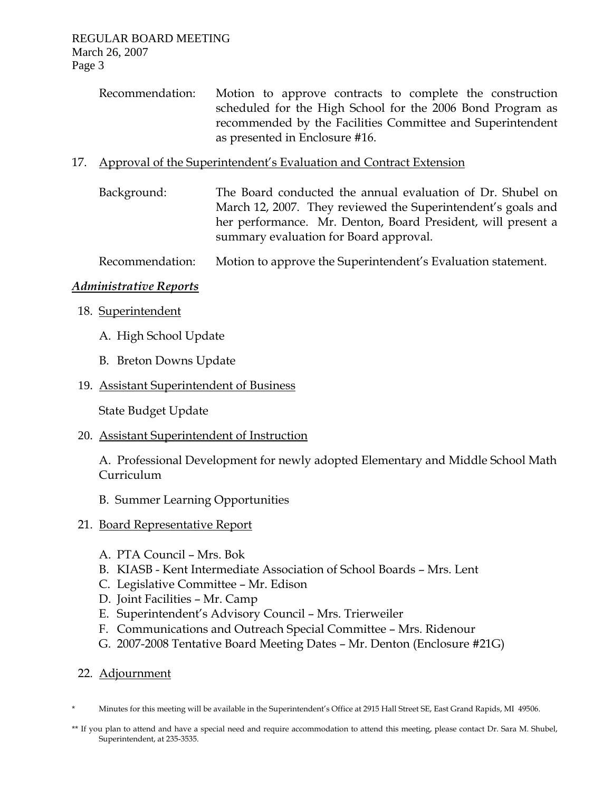Recommendation: Motion to approve contracts to complete the construction scheduled for the High School for the 2006 Bond Program as recommended by the Facilities Committee and Superintendent as presented in Enclosure #16.

## 17. Approval of the Superintendent's Evaluation and Contract Extension

 Background: The Board conducted the annual evaluation of Dr. Shubel on March 12, 2007. They reviewed the Superintendent's goals and her performance. Mr. Denton, Board President, will present a summary evaluation for Board approval.

Recommendation: Motion to approve the Superintendent's Evaluation statement.

### *Administrative Reports*

- 18. Superintendent
	- A. High School Update
	- B. Breton Downs Update

### 19. Assistant Superintendent of Business

State Budget Update

### 20. Assistant Superintendent of Instruction

A. Professional Development for newly adopted Elementary and Middle School Math Curriculum

B. Summer Learning Opportunities

### 21. Board Representative Report

- A. PTA Council Mrs. Bok
- B. KIASB Kent Intermediate Association of School Boards Mrs. Lent
- C. Legislative Committee Mr. Edison
- D. Joint Facilities Mr. Camp
- E. Superintendent's Advisory Council Mrs. Trierweiler
- F. Communications and Outreach Special Committee Mrs. Ridenour
- G. 2007-2008 Tentative Board Meeting Dates Mr. Denton (Enclosure #21G)

### 22. Adjournment

- \* Minutes for this meeting will be available in the Superintendent's Office at 2915 Hall Street SE, East Grand Rapids, MI 49506.
- \*\* If you plan to attend and have a special need and require accommodation to attend this meeting, please contact Dr. Sara M. Shubel, Superintendent, at 235-3535.